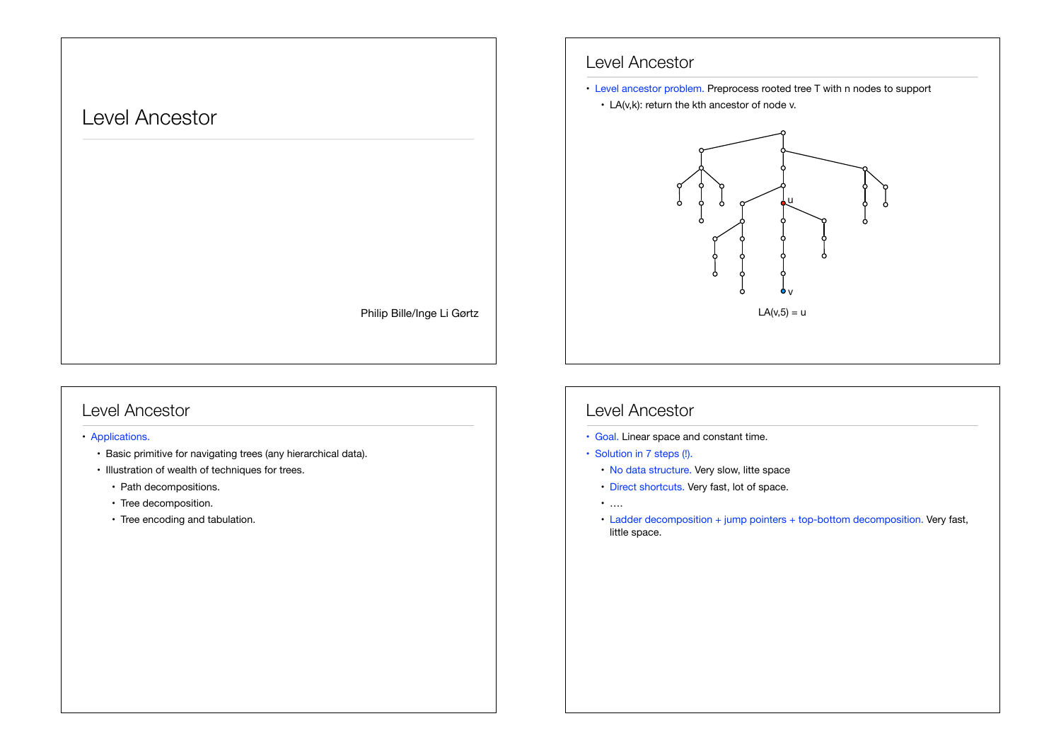# Level Ancestor

Philip Bille/Inge Li Gørtz

### Level Ancestor

#### • Applications.

- Basic primitive for navigating trees (any hierarchical data).
- Illustration of wealth of techniques for trees.
	- Path decompositions.
	- Tree decomposition.
	- Tree encoding and tabulation.

#### Level Ancestor

- Level ancestor problem. Preprocess rooted tree T with n nodes to support
	- LA(v,k): return the kth ancestor of node v.



# Level Ancestor

- Goal. Linear space and constant time.
- Solution in 7 steps (!).
	- No data structure. Very slow, litte space
	- Direct shortcuts. Very fast, lot of space.
	- ….
	- Ladder decomposition + jump pointers + top-bottom decomposition. Very fast, little space.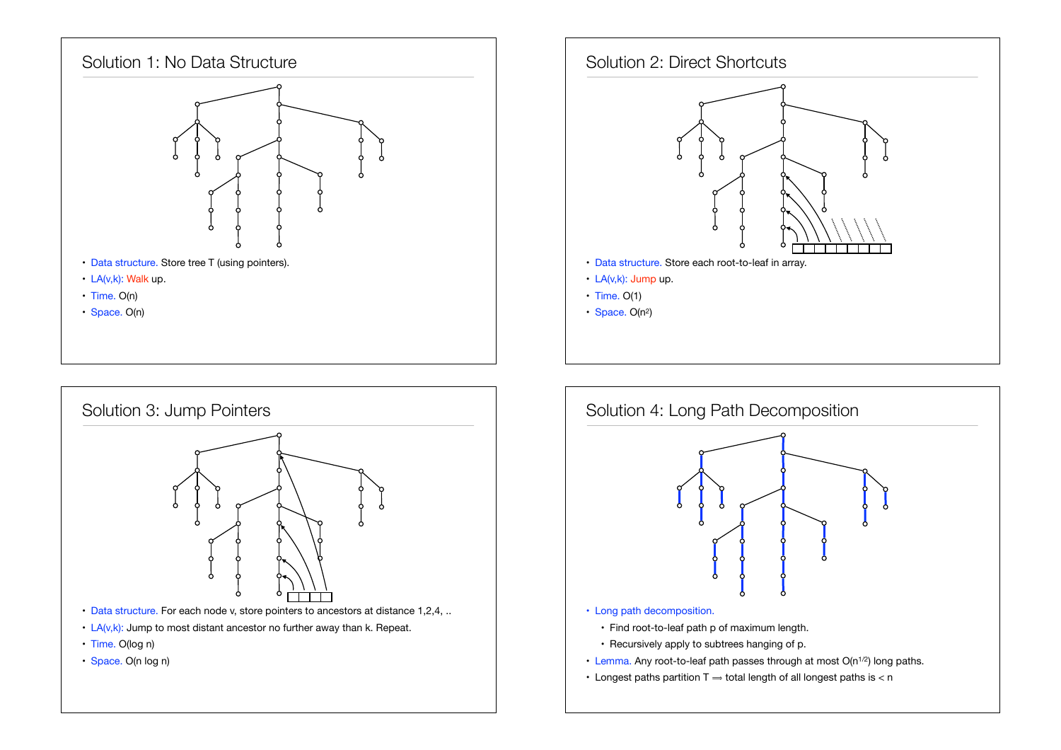





- Time. O(log n)
- Space. O(n log n)

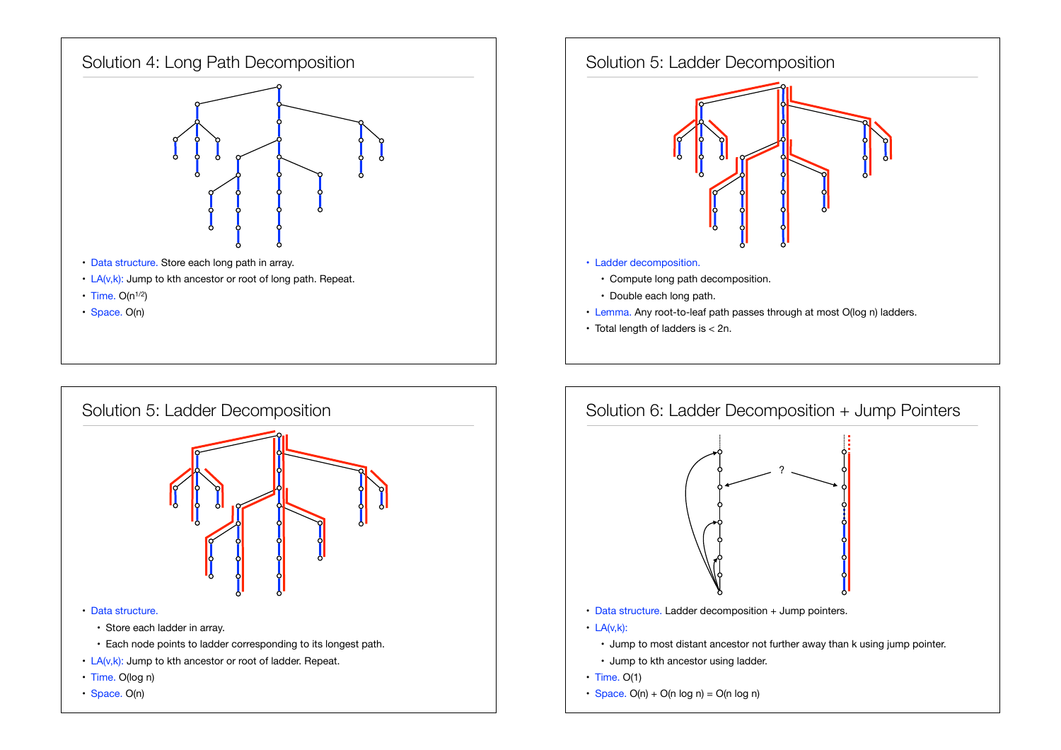



- Data structure. Store each long path in array.
- $\cdot$  LA(v,k): Jump to kth ancestor or root of long path. Repeat.
- $\cdot$  Time. O(n<sup>1/2</sup>)
- Space. O(n)





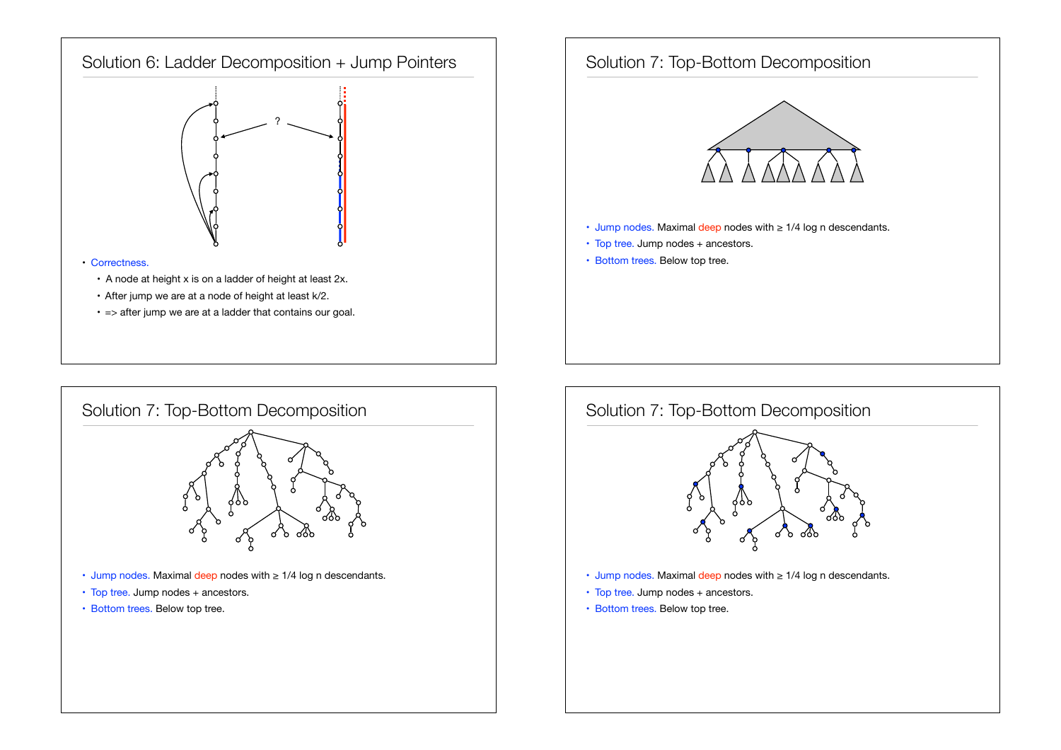







- Jump nodes. Maximal deep nodes with ≥ 1/4 log n descendants.
- Top tree. Jump nodes + ancestors.
- Bottom trees. Below top tree.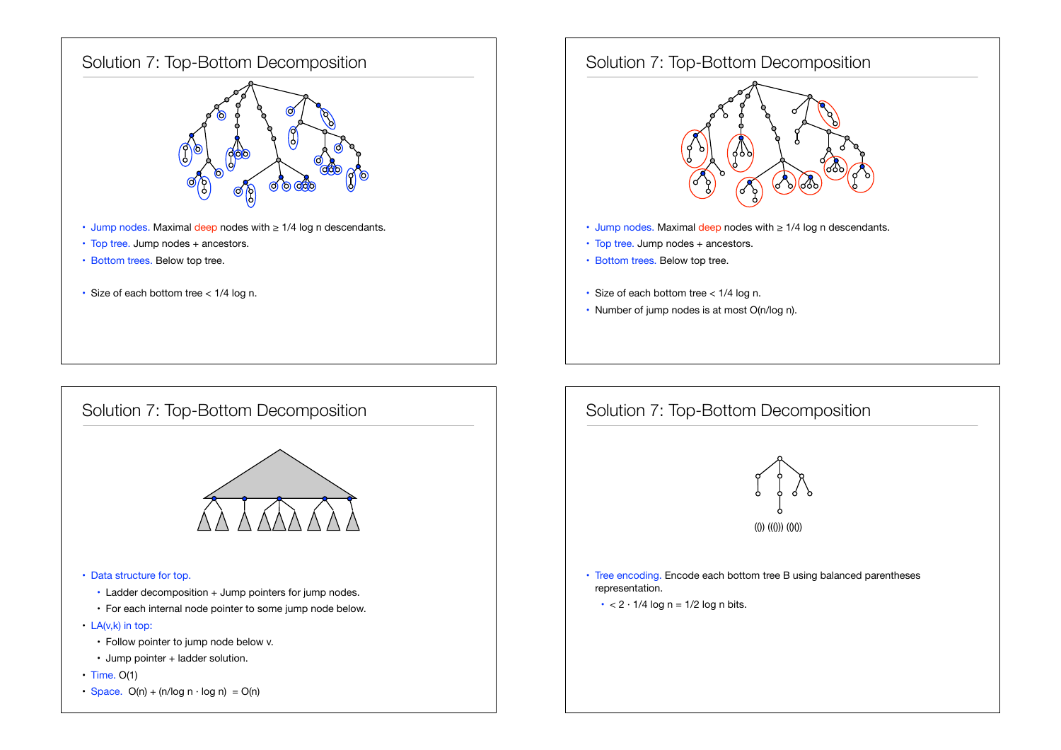